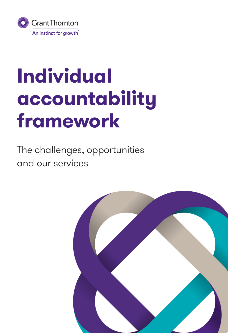

# **Individual accountability framework**

The challenges, opportunities and our services

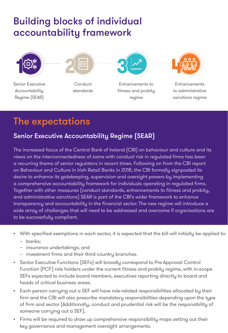## Building blocks of individual accountability framework



Senior Executive Accountability Regime (SEAR)



Conduct standards



Enhancements to fitness and probity regime



Enhancements to administrative sanctions regime

# The expectations

## Senior Executive Accountability Regime (SEAR)

The increased focus of the Central Bank of Ireland (CBI) on behaviour and culture and its views on the interconnectedness of same with conduct risk in regulated firms has been a recurring theme of senior regulators in recent times. Following on from the CBI report on Behaviour and Culture in Irish Retail Banks in 2018, the CBI formally signposted its desire to enhance its gatekeeping, supervision and oversight powers by implementing a comprehensive accountability framework for individuals operating in regulated firms. Together with other measures (conduct standards, enhancements to fitness and probity, and administrative sanctions) SEAR is part of the CBI's wider framework to enhance transparency and accountability in the financial sector. The new regime will introduce a wide array of challenges that will need to be addressed and overcome if organisations are to be successfully compliant.

- With specified exemptions in each sector, it is expected that the bill will initially be applied to:
	- − banks;
	- − insurance undertakings; and
	- − investment firms and their third country branches.
- Senior Executive Functions (SEFs) will broadly correspond to Pre-Approval Control Function (PCF) role holders under the current fitness and probity regime, with in-scope SEFs expected to include board members, executives reporting directly to board and heads of critical business areas.
- Each person carrying out a SEF will have role-related responsibilities allocated by their firm and the CBI will also prescribe mandatory responsibilities depending upon the type of firm and sector (Additionally, conduct and prudential risk will be the responsibility of someone carrying out a SEF).
- Firms will be required to draw up comprehensive responsibility maps setting out their key governance and management oversight arrangements.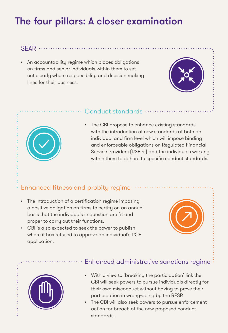# The four pillars: A closer examination

#### $SFAR$  ...

• An accountability regime which places obligations on firms and senior individuals within them to set out clearly where responsibility and decision making lines for their business.





#### Conduct standards ........

• The CBI propose to enhance existing standards with the introduction of new standards at both an individual and firm level which will impose binding and enforceable obligations on Regulated Financial Service Providers (RSFPs) and the individuals working within them to adhere to specific conduct standards.

## Enhanced fitness and probity regime

- The introduction of a certification regime imposing a positive obligation on firms to certify on an annual basis that the individuals in question are fit and proper to carry out their functions.
- CBI is also expected to seek the power to publish where it has refused to approve an individual's PCF application.





#### Enhanced administrative sanctions regime

- With a view to 'breaking the participation' link the CBI will seek powers to pursue individuals directly for their own misconduct without having to prove their participation in wrong-doing by the RFSP.
- The CBI will also seek powers to pursue enforcement action for breach of the new proposed conduct standards.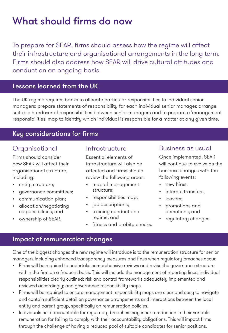# What should firms do now

To prepare for SEAR, firms should assess how the regime will affect their infrastructure and organisational arrangements in the long term. Firms should also address how SEAR will drive cultural attitudes and conduct on an ongoing basis.

#### Lessons learned from the UK

The UK regime requires banks to allocate particular responsibilities to individual senior managers: prepare statements of responsibility for each individual senior manager, arrange suitable handover of responsibilities between senior managers and to prepare a 'management responsibilities' map to identify which individual is responsible for a matter at any given time.

#### Key considerations for firms

### **Organisational**

Firms should consider how SEAR will affect their organisational structure, including:

- entity structure;
- governance committees;
- communication plan;
- allocation/negotiating responsibilities; and
- ownership of SEAR.

#### Infrastructure

Essential elements of infrastructure will also be affected and firms should review the following areas:

- map of management structure;
- responsibilities map;
- job descriptions;
- training conduct and regime; and
- fitness and probity checks.

#### Business as usual

Once implemented, SEAR will continue to evolve as the business changes with the following events:

- new hires:
- internal transfers;
- leavers:
- promotions and demotions; and
- regulatory changes.

#### Impact of remuneration changes

One of the biggest changes the new regime will introduce is to the remuneration structure for senior managers including enhanced transparency measures and fines when regulatory breaches occur.

- Firms will be required to undertake comprehensive reviews and revise the governance structure within the firm on a frequent basis. This will include the management of reporting lines; individual responsibilities clearly outlined; risk and control frameworks adequately implemented and reviewed accordingly; and governance responsibility maps.
- Firms will be required to ensure management responsibility maps are clear and easy to naviaate and contain sufficient detail on governance arrangements and interactions between the local entity and parent group, specifically on remuneration policies.
- Individuals held accountable for regulatory breaches may incur a reduction in their variable remuneration for failing to comply with their accountability obligations. This will impact firms through the challenge of having a reduced pool of suitable candidates for senior positions.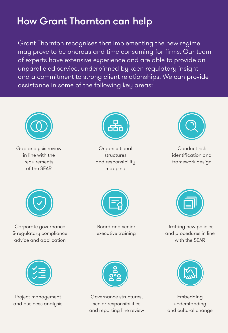# How Grant Thornton can help

Grant Thornton recognises that implementing the new regime may prove to be onerous and time consuming for firms. Our team of experts have extensive experience and are able to provide an unparalleled service, underpinned by keen regulatory insight and a commitment to strong client relationships. We can provide assistance in some of the following key areas:



Gap analysis review in line with the requirements of the SEAR



**Organisational** structures and responsibility mapping



Conduct risk identification and framework design



Corporate governance & regulatory compliance advice and application



Board and senior executive training



Drafting new policies and procedures in line with the SEAR



Project management and business analysis



Governance structures, senior responsibilities and reporting line review



Embedding understanding and cultural change